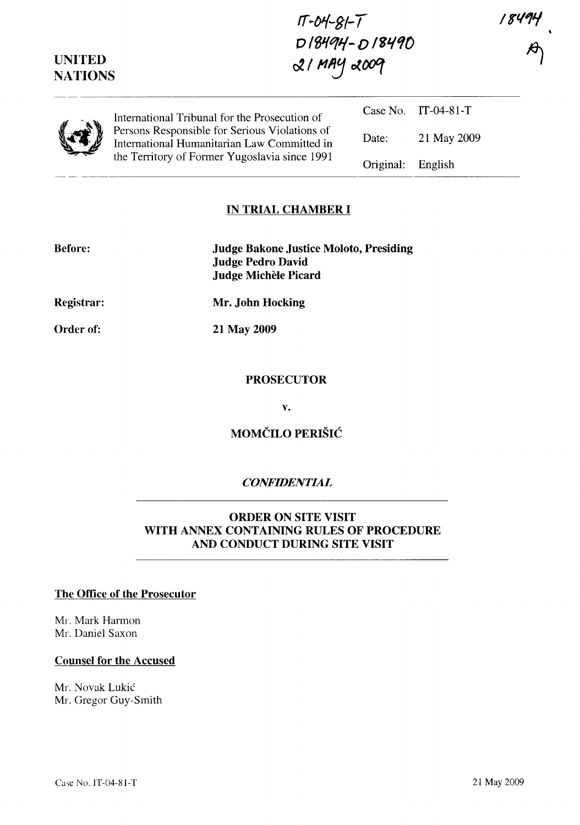*/8'1/"1"/* 

| $1T - 04 - 81 - 7$ |
|--------------------|
| D18494-D18490      |
| $21$ MAY 2009      |

**UNITED NATIONS** 

| $\mathbf{z}$<br>274 | International Tribunal for the Prosecution of<br>Persons Responsible for Serious Violations of<br>International Humanitarian Law Committed in<br>the Territory of Former Yugoslavia since 1991 |                   | Case No. IT-04-81-T |
|---------------------|------------------------------------------------------------------------------------------------------------------------------------------------------------------------------------------------|-------------------|---------------------|
|                     |                                                                                                                                                                                                | Date:             | 21 May 2009         |
|                     |                                                                                                                                                                                                | Original: English |                     |

#### **IN TRIAL CHAMBER I**

| <b>Before:</b>    | <b>Judge Bakone Justice Moloto, Presiding</b><br><b>Judge Pedro David</b><br>Judge Michèle Picard |
|-------------------|---------------------------------------------------------------------------------------------------|
| <b>Registrar:</b> | Mr. John Hocking                                                                                  |
| <b>Order of:</b>  | 21 May 2009                                                                                       |

#### **PROSECUTOR**

**v.** 

### **MOMČILO PERIŠIĆ**

#### *CONFIDENTIAL*

#### **ORDER ON SITE VISIT WITH ANNEX CONTAINING RULES OF PROCEDURE AND CONDUCT DURING SITE VISIT**

#### **The Office of the Prosecutor**

Mr. Mark Harmon Mr. Daniel Saxon

#### **Counsel for the Accused**

Mr. Novak Lukic Mr. Gregor Guy-Smith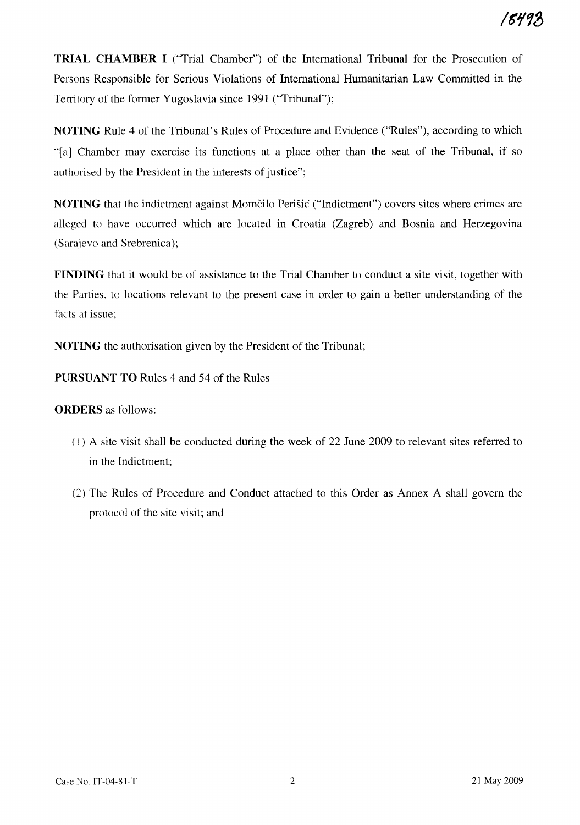**TRIAL CHAMBER I** ("Trial Chamber") of the International Tribunal for the Prosecution of Persons Responsible for Serious Violations of International Humanitarian Law Committed in the Territory of the former Yugoslavia since 1991 ("Tribunal");

**NOTING** Rule 4 of the Tribunal's Rules of Procedure and Evidence ("Rules"), according to which "[a] Chamber may exercise its functions at a place other than the seat of the Tribunal, if so authorised by the President in the interests of justice";

**NOTING** that the indictment against Momčilo Perišić ("Indictment") covers sites where crimes are alleged to have occurred which are located in Croatia (Zagreb) and Bosnia and Herzegovina (Sarajevo and Srebrenica);

**FINDING** that it would be of assistance to the Trial Chamber to conduct a site visit, together with the Parties, to locations relevant to the present case in order to gain a better understanding of the facts at issue;

**NOTING** the authorisation given by the President of the Tribunal;

**PURSUANT TO** Rules 4 and 54 of the Rules

#### **ORDERS** as follows:

- (! ) A site visit shall be conducted during the week of 22 June 2009 to relevant sites referred to in the Indictment;
- (2) The Rules of Procedure and Conduct attached to this Order as Annex A shall govern the protocol of the site visit; and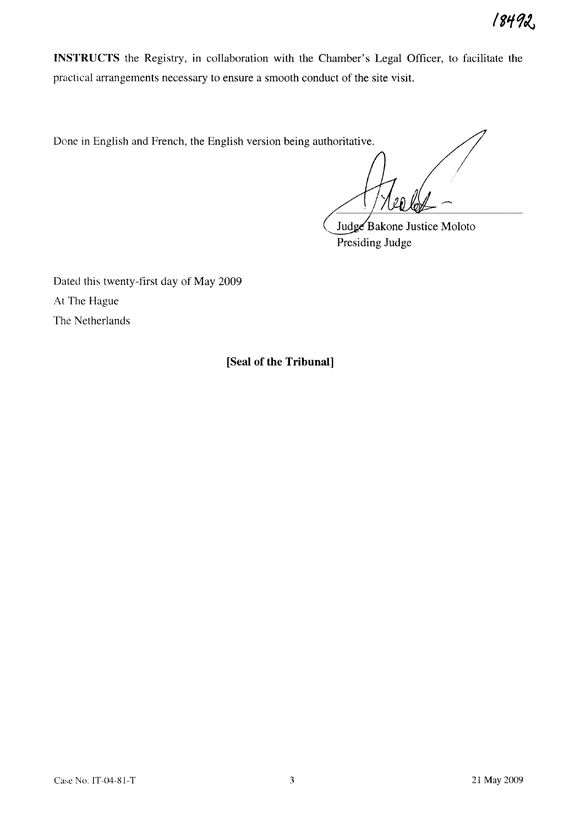**INSTRUCTS** the Registry, in collaboration with the Chamber's Legal Officer, to facilitate the practical arrangements necessary to ensure a smooth conduct of the site visit.

Done in English and French, the English version being authoritative.

Judge Bakone Justice Moloto Presiding Judge

Dated this twenty-first day of May 2009 At The Hague The Netherlands

**[Seal of the Tribunal]**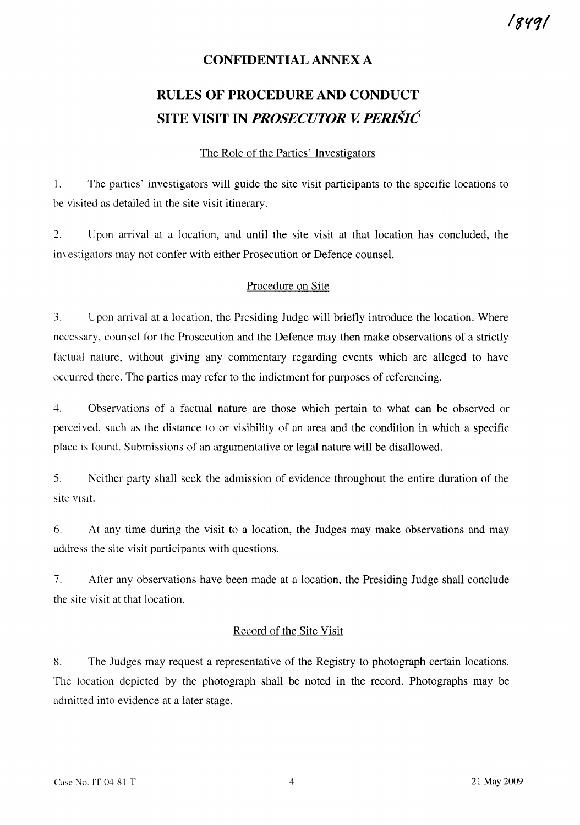# 8491'

#### **CONFIDENTIAL ANNEX A**

## **RULES OF PROCEDURE AND CONDUCT SITE VISIT IN** *PROSECUTOR V. PERISIC*

#### The Role of the Parties' Investigators

1. The parties' investigators will guide the site visit participants to the specific locations to be visited as detailed in the site visit itinerary.

2. Upon arrival at a location, and until the site visit at that location has concluded, the im estigators may not confer with either Prosecution or Defence counsel.

#### Procedure on Site

.3. Upon arrival at a location, the Presiding Judge will briefly introduce the location. Where necessary, counsel for the Prosecution and the Defence may then make observations of a strictly factual nature, without giving any commentary regarding events which are alleged to have occurred there. The parties may refer to the indictment for purposes of referencing.

4. Observations of a factual nature are those which pertain to what can be observed or perceived, such as the distance to or visibility of an area and the condition in which a specific place is found. Submissions of an argumentative or legal nature will be disallowed.

5. Neither party shall seek the admission of evidence throughout the entire duration of the site visit.

6. At any time during the visit to a location, the Judges may make observations and may address the site visit participants with questions.

7. After any observations have been made at a location, the Presiding Judge shall conclude the site visit at that location.

#### Record of the Site Visit

8. The Judges may request a representative of the Registry to photograph certain locations. The location depicted by the photograph shall be noted in the record. Photographs may be admitted into evidence at a later stage.